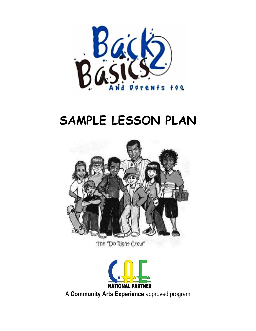

# SAMPLE LESSON PLAN



The "Do Right Crew"

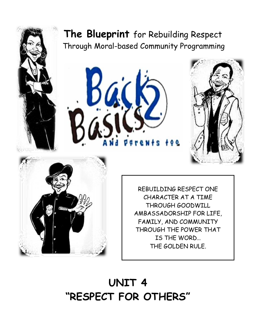## **The Blueprint** for Rebuilding Respect Through Moral-based Community Programming







REBUILDING RESPECT ONE CHARACTER AT A TIME THROUGH GOODWILL AMBASSADORSHIP FOR LIFE, FAMILY, AND COMMUNITY THROUGH THE POWER THAT IS THE WORD… THE GOLDEN RULE.

## **UNIT 4 "RESPECT FOR OTHERS"**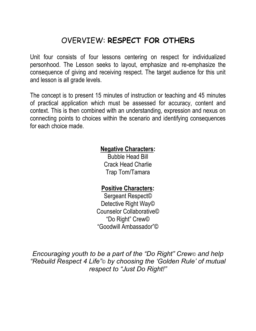### OVERVIEW: **RESPECT FOR OTHERS**

Unit four consists of four lessons centering on respect for individualized personhood. The Lesson seeks to layout, emphasize and re-emphasize the consequence of giving and receiving respect. The target audience for this unit and lesson is all grade levels.

The concept is to present 15 minutes of instruction or teaching and 45 minutes of practical application which must be assessed for accuracy, content and context. This is then combined with an understanding, expression and nexus on connecting points to choices within the scenario and identifying consequences for each choice made.

#### **Negative Characters:**

Bubble Head Bill Crack Head Charlie Trap Tom/Tamara

#### **Positive Characters:**

Sergeant Respect© Detective Right Way© Counselor Collaborative© "Do Right" Crew© "Goodwill Ambassador"©

*Encouraging youth to be a part of the "Do Right" Crew© and help "Rebuild Respect 4 Life"© by choosing the 'Golden Rule' of mutual respect to "Just Do Right!"*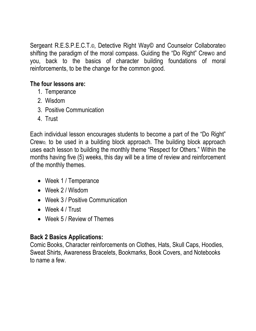Sergeant R.E.S.P.E.C.T.©, Detective Right Way© and Counselor Collaborate© shifting the paradigm of the moral compass. Guiding the "Do Right" Crew© and you, back to the basics of character building foundations of moral reinforcements, to be the change for the common good.

#### **The four lessons are:**

- 1. Temperance
- 2. Wisdom
- 3. Positive Communication
- 4. Trust

Each individual lesson encourages students to become a part of the "Do Right" Crew©, to be used in a building block approach. The building block approach uses each lesson to building the monthly theme "Respect for Others." Within the months having five (5) weeks, this day will be a time of review and reinforcement of the monthly themes.

- Week 1 / Temperance
- Week 2 / Wisdom
- Week 3 / Positive Communication
- Week 4 / Trust
- Week 5 / Review of Themes

#### **Back 2 Basics Applications:**

Comic Books, Character reinforcements on Clothes, Hats, Skull Caps, Hoodies, Sweat Shirts, Awareness Bracelets, Bookmarks, Book Covers, and Notebooks to name a few.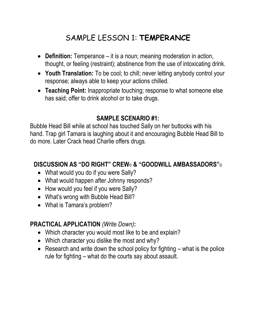## SAMPLE LESSON 1: **TEMPERANCE**

- **Definition:** Temperance it is a noun; meaning moderation in action, thought, or feeling (restraint); abstinence from the use of intoxicating drink.
- **Youth Translation:** To be cool; to chill; never letting anybody control your response; always able to keep your actions chilled.
- **Teaching Point:** Inappropriate touching; response to what someone else has said; offer to drink alcohol or to take drugs.

#### **SAMPLE SCENARIO #1:**

Bubble Head Bill while at school has touched Sally on her buttocks with his hand. Trap girl Tamara is laughing about it and encouraging Bubble Head Bill to do more. Later Crack head Charlie offers drugs.

#### **DISCUSSION AS "DO RIGHT" CREW**© **& "GOODWILL AMBASSADORS"**©

- What would you do if you were Sally?
- What would happen after Johnny responds?
- How would you feel if you were Sally?
- What's wrong with Bubble Head Bill?
- What is Tamara's problem?

#### **PRACTICAL APPLICATION** *(Write Down)***:**

- Which character you would most like to be and explain?
- Which character you dislike the most and why?
- **•** Research and write down the school policy for fighting  $-$  what is the police rule for fighting – what do the courts say about assault.